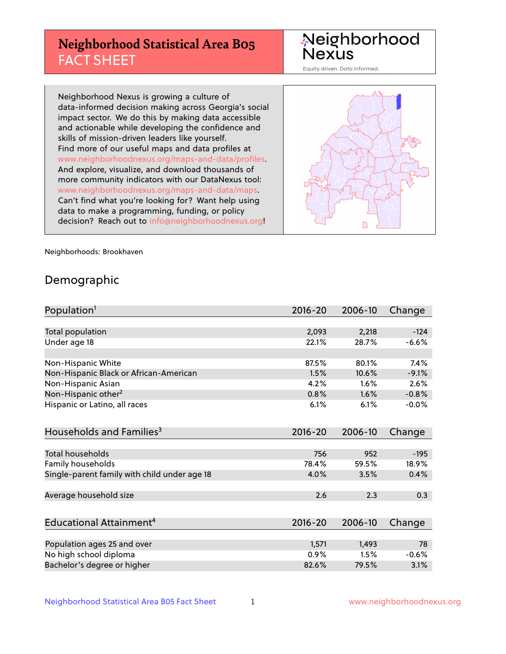## **Neighborhood Statistical Area B05** FACT SHEET

Neighborhood Nexus

Equity driven. Data informed.

Neighborhood Nexus is growing a culture of data-informed decision making across Georgia's social impact sector. We do this by making data accessible and actionable while developing the confidence and skills of mission-driven leaders like yourself. Find more of our useful maps and data profiles at www.neighborhoodnexus.org/maps-and-data/profiles. And explore, visualize, and download thousands of more community indicators with our DataNexus tool: www.neighborhoodnexus.org/maps-and-data/maps. Can't find what you're looking for? Want help using data to make a programming, funding, or policy decision? Reach out to [info@neighborhoodnexus.org!](mailto:info@neighborhoodnexus.org)



Neighborhoods: Brookhaven

### Demographic

| Population <sup>1</sup>                      | $2016 - 20$ | 2006-10 | Change  |
|----------------------------------------------|-------------|---------|---------|
|                                              |             |         |         |
| Total population                             | 2,093       | 2,218   | $-124$  |
| Under age 18                                 | 22.1%       | 28.7%   | $-6.6%$ |
| Non-Hispanic White                           | 87.5%       | 80.1%   | 7.4%    |
| Non-Hispanic Black or African-American       | 1.5%        | 10.6%   | $-9.1%$ |
| Non-Hispanic Asian                           | 4.2%        | 1.6%    | 2.6%    |
| Non-Hispanic other <sup>2</sup>              | 0.8%        | 1.6%    | $-0.8%$ |
| Hispanic or Latino, all races                | 6.1%        | 6.1%    | $-0.0%$ |
| Households and Families <sup>3</sup>         | $2016 - 20$ | 2006-10 | Change  |
|                                              |             |         |         |
| <b>Total households</b>                      | 756         | 952     | $-195$  |
| Family households                            | 78.4%       | 59.5%   | 18.9%   |
| Single-parent family with child under age 18 | 4.0%        | 3.5%    | 0.4%    |
| Average household size                       | 2.6         | 2.3     | 0.3     |
|                                              |             |         |         |
| Educational Attainment <sup>4</sup>          | $2016 - 20$ | 2006-10 | Change  |
| Population ages 25 and over                  | 1,571       | 1,493   | 78      |
| No high school diploma                       | 0.9%        | 1.5%    | $-0.6%$ |
| Bachelor's degree or higher                  | 82.6%       | 79.5%   | 3.1%    |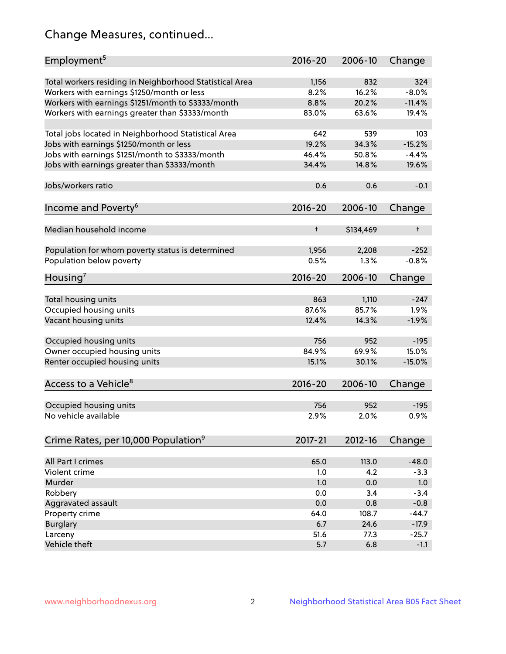## Change Measures, continued...

| Employment <sup>5</sup>                                 | $2016 - 20$   | 2006-10      | Change     |
|---------------------------------------------------------|---------------|--------------|------------|
|                                                         |               |              | 324        |
| Total workers residing in Neighborhood Statistical Area | 1,156<br>8.2% | 832<br>16.2% | $-8.0%$    |
| Workers with earnings \$1250/month or less              | 8.8%          | 20.2%        | $-11.4%$   |
| Workers with earnings \$1251/month to \$3333/month      | 83.0%         | 63.6%        | 19.4%      |
| Workers with earnings greater than \$3333/month         |               |              |            |
| Total jobs located in Neighborhood Statistical Area     | 642           | 539          | 103        |
| Jobs with earnings \$1250/month or less                 | 19.2%         | 34.3%        | $-15.2%$   |
| Jobs with earnings \$1251/month to \$3333/month         | 46.4%         | 50.8%        | $-4.4%$    |
| Jobs with earnings greater than \$3333/month            | 34.4%         | 14.8%        | 19.6%      |
|                                                         |               |              |            |
| Jobs/workers ratio                                      | 0.6           | 0.6          | $-0.1$     |
|                                                         |               |              |            |
| Income and Poverty <sup>6</sup>                         | 2016-20       | 2006-10      | Change     |
|                                                         |               |              |            |
| Median household income                                 | $\ddagger$    | \$134,469    | $\ddagger$ |
|                                                         |               |              |            |
| Population for whom poverty status is determined        | 1,956         | 2,208        | $-252$     |
| Population below poverty                                | 0.5%          | 1.3%         | $-0.8%$    |
|                                                         |               |              |            |
| Housing'                                                | 2016-20       | 2006-10      | Change     |
|                                                         |               |              |            |
| Total housing units                                     | 863           | 1,110        | $-247$     |
| Occupied housing units                                  | 87.6%         | 85.7%        | 1.9%       |
| Vacant housing units                                    | 12.4%         | 14.3%        | $-1.9%$    |
|                                                         |               |              |            |
| Occupied housing units                                  | 756           | 952          | $-195$     |
| Owner occupied housing units                            | 84.9%         | 69.9%        | 15.0%      |
| Renter occupied housing units                           | 15.1%         | 30.1%        | $-15.0%$   |
|                                                         |               |              |            |
| Access to a Vehicle <sup>8</sup>                        | $2016 - 20$   | 2006-10      | Change     |
|                                                         |               |              |            |
| Occupied housing units                                  | 756           | 952          | $-195$     |
| No vehicle available                                    | 2.9%          | 2.0%         | 0.9%       |
|                                                         |               |              |            |
| Crime Rates, per 10,000 Population <sup>9</sup>         | 2017-21       | 2012-16      | Change     |
|                                                         |               |              |            |
| All Part I crimes                                       | 65.0          | 113.0        | $-48.0$    |
| Violent crime                                           | 1.0           | 4.2          | $-3.3$     |
| Murder                                                  | 1.0           | 0.0          | 1.0        |
| Robbery                                                 | 0.0           | 3.4          | $-3.4$     |
| Aggravated assault                                      | 0.0           | 0.8          | $-0.8$     |
| Property crime                                          | 64.0          | 108.7        | $-44.7$    |
| <b>Burglary</b>                                         | 6.7           | 24.6         | $-17.9$    |
| Larceny                                                 | 51.6          | 77.3         | $-25.7$    |
| Vehicle theft                                           | 5.7           | 6.8          | $-1.1$     |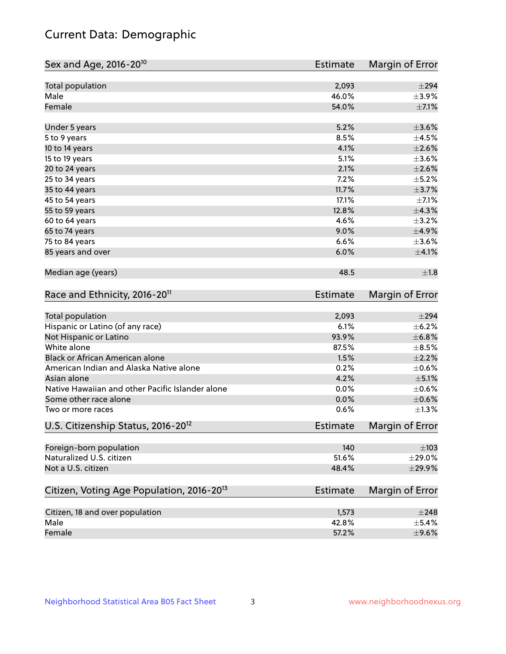## Current Data: Demographic

| Sex and Age, 2016-20 <sup>10</sup>                    | <b>Estimate</b> | Margin of Error        |
|-------------------------------------------------------|-----------------|------------------------|
| Total population                                      | 2,093           | $\pm 294$              |
| Male                                                  | 46.0%           | $\pm$ 3.9%             |
| Female                                                | 54.0%           | $\pm$ 7.1%             |
| Under 5 years                                         | 5.2%            | $\pm 3.6\%$            |
| 5 to 9 years                                          | 8.5%            | $\pm 4.5\%$            |
| 10 to 14 years                                        | 4.1%            | $\pm 2.6\%$            |
| 15 to 19 years                                        | 5.1%            | $\pm 3.6\%$            |
| 20 to 24 years                                        | 2.1%            | $\pm 2.6\%$            |
| 25 to 34 years                                        | 7.2%            | $\pm$ 5.2%             |
| 35 to 44 years                                        | 11.7%           | $\pm$ 3.7%             |
| 45 to 54 years                                        | 17.1%           | $\pm$ 7.1%             |
| 55 to 59 years                                        | 12.8%           | ±4.3%                  |
| 60 to 64 years                                        | 4.6%            | $\pm$ 3.2%             |
| 65 to 74 years                                        | 9.0%            | $\pm$ 4.9%             |
| 75 to 84 years                                        | 6.6%            | $\pm 3.6\%$            |
| 85 years and over                                     | 6.0%            | $\pm$ 4.1%             |
| Median age (years)                                    | 48.5            | ±1.8                   |
| Race and Ethnicity, 2016-20 <sup>11</sup>             | <b>Estimate</b> | Margin of Error        |
| <b>Total population</b>                               | 2,093           | $\pm 294$              |
| Hispanic or Latino (of any race)                      | 6.1%            | $\pm$ 6.2%             |
| Not Hispanic or Latino                                | 93.9%           | ±6.8%                  |
| White alone                                           | 87.5%           | $\pm$ 8.5%             |
| Black or African American alone                       | 1.5%            | $\pm 2.2\%$            |
| American Indian and Alaska Native alone               | 0.2%            | $\pm$ 0.6%             |
| Asian alone                                           | 4.2%            | $\pm$ 5.1%             |
| Native Hawaiian and other Pacific Islander alone      | 0.0%            | $\pm$ 0.6%             |
| Some other race alone                                 | 0.0%            | $\pm$ 0.6%             |
| Two or more races                                     | 0.6%            | $\pm 1.3\%$            |
| U.S. Citizenship Status, 2016-20 <sup>12</sup>        | <b>Estimate</b> | <b>Margin of Error</b> |
| Foreign-born population                               | 140             | $\pm$ 103              |
| Naturalized U.S. citizen                              | 51.6%           | $\pm 29.0\%$           |
| Not a U.S. citizen                                    | 48.4%           | ±29.9%                 |
| Citizen, Voting Age Population, 2016-20 <sup>13</sup> | Estimate        | Margin of Error        |
| Citizen, 18 and over population                       | 1,573           | $\pm 248$              |
| Male                                                  | 42.8%           | $\pm$ 5.4%             |
| Female                                                | 57.2%           | $\pm$ 9.6%             |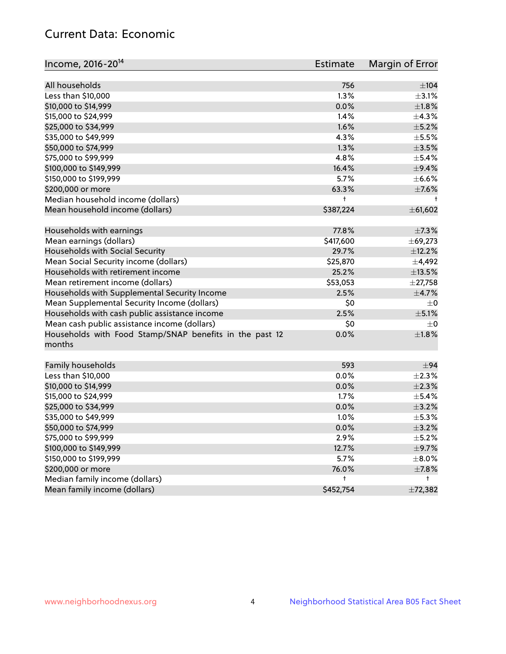## Current Data: Economic

| Income, 2016-20 <sup>14</sup>                           | <b>Estimate</b> | Margin of Error |
|---------------------------------------------------------|-----------------|-----------------|
| All households                                          | 756             | $\pm 104$       |
| Less than \$10,000                                      | 1.3%            | $\pm$ 3.1%      |
|                                                         | 0.0%            | ±1.8%           |
| \$10,000 to \$14,999<br>\$15,000 to \$24,999            |                 |                 |
|                                                         | 1.4%            | ±4.3%           |
| \$25,000 to \$34,999                                    | 1.6%            | $\pm$ 5.2%      |
| \$35,000 to \$49,999                                    | 4.3%            | $\pm$ 5.5%      |
| \$50,000 to \$74,999                                    | 1.3%            | $\pm$ 3.5%      |
| \$75,000 to \$99,999                                    | 4.8%            | $\pm$ 5.4%      |
| \$100,000 to \$149,999                                  | 16.4%           | $\pm$ 9.4%      |
| \$150,000 to \$199,999                                  | 5.7%            | $\pm$ 6.6%      |
| \$200,000 or more                                       | 63.3%           | $\pm$ 7.6%      |
| Median household income (dollars)                       | t               | t               |
| Mean household income (dollars)                         | \$387,224       | ± 61,602        |
| Households with earnings                                | 77.8%           | $\pm$ 7.3%      |
| Mean earnings (dollars)                                 | \$417,600       | $\pm$ 69,273    |
| Households with Social Security                         | 29.7%           | ±12.2%          |
| Mean Social Security income (dollars)                   | \$25,870        | ±4,492          |
| Households with retirement income                       | 25.2%           | $\pm$ 13.5%     |
| Mean retirement income (dollars)                        | \$53,053        | $\pm$ 27,758    |
| Households with Supplemental Security Income            | 2.5%            | $\pm$ 4.7%      |
| Mean Supplemental Security Income (dollars)             | \$0             | $\pm$ 0         |
| Households with cash public assistance income           | 2.5%            | $\pm$ 5.1%      |
| Mean cash public assistance income (dollars)            | \$0             | $\pm$ 0         |
| Households with Food Stamp/SNAP benefits in the past 12 | 0.0%            | $\pm1.8\%$      |
| months                                                  |                 |                 |
| Family households                                       | 593             | ±94             |
| Less than \$10,000                                      | 0.0%            | $\pm 2.3\%$     |
|                                                         | 0.0%            | $\pm 2.3\%$     |
| \$10,000 to \$14,999                                    |                 | $\pm$ 5.4%      |
| \$15,000 to \$24,999                                    | 1.7%            |                 |
| \$25,000 to \$34,999                                    | 0.0%            | $\pm$ 3.2%      |
| \$35,000 to \$49,999                                    | 1.0%            | $\pm$ 5.3%      |
| \$50,000 to \$74,999                                    | 0.0%            | $\pm$ 3.2%      |
| \$75,000 to \$99,999                                    | 2.9%            | $\pm$ 5.2%      |
| \$100,000 to \$149,999                                  | 12.7%           | $\pm$ 9.7%      |
| \$150,000 to \$199,999                                  | 5.7%            | $\pm$ 8.0%      |
| \$200,000 or more                                       | 76.0%           | $\pm$ 7.8%      |
| Median family income (dollars)                          | t               | t.              |
| Mean family income (dollars)                            | \$452,754       | ±72,382         |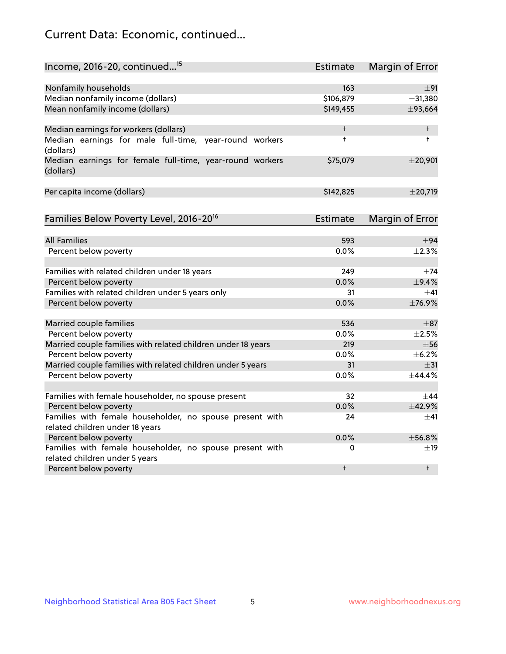## Current Data: Economic, continued...

| Income, 2016-20, continued <sup>15</sup>                              | <b>Estimate</b> | Margin of Error        |
|-----------------------------------------------------------------------|-----------------|------------------------|
|                                                                       |                 |                        |
| Nonfamily households                                                  | 163             | ±91                    |
| Median nonfamily income (dollars)                                     | \$106,879       | ±31,380                |
| Mean nonfamily income (dollars)                                       | \$149,455       | ±93,664                |
| Median earnings for workers (dollars)                                 | t               | $\ddagger$             |
| Median earnings for male full-time, year-round workers<br>(dollars)   | $\ddagger$      | $\ddagger$             |
| Median earnings for female full-time, year-round workers<br>(dollars) | \$75,079        | $±$ 20,901             |
| Per capita income (dollars)                                           | \$142,825       | $±$ 20,719             |
| Families Below Poverty Level, 2016-20 <sup>16</sup>                   | <b>Estimate</b> | <b>Margin of Error</b> |
|                                                                       |                 |                        |
| <b>All Families</b>                                                   | 593             | ±94                    |
| Percent below poverty                                                 | 0.0%            | $\pm 2.3\%$            |
| Families with related children under 18 years                         | 249             | $\pm$ 74               |
| Percent below poverty                                                 | 0.0%            | $\pm$ 9.4%             |
| Families with related children under 5 years only                     | 31              | ±41                    |
| Percent below poverty                                                 | 0.0%            | ±76.9%                 |
| Married couple families                                               | 536             | $\pm$ 87               |
| Percent below poverty                                                 | 0.0%            | $\pm 2.5\%$            |
| Married couple families with related children under 18 years          | 219             | $\pm$ 56               |
| Percent below poverty                                                 | $0.0\%$         | ±6.2%                  |
| Married couple families with related children under 5 years           | 31              | $\pm$ 31               |
| Percent below poverty                                                 | $0.0\%$         | ±44.4%                 |
| Families with female householder, no spouse present                   | 32              | $\pm$ 44               |
| Percent below poverty                                                 | 0.0%            | ±42.9%                 |
| Families with female householder, no spouse present with              | 24              | $+41$                  |
| related children under 18 years                                       |                 |                        |
| Percent below poverty                                                 | 0.0%            | ±56.8%                 |
| Families with female householder, no spouse present with              | 0               | $\pm$ 19               |
| related children under 5 years                                        |                 |                        |
| Percent below poverty                                                 | t               | $^{\dagger}$           |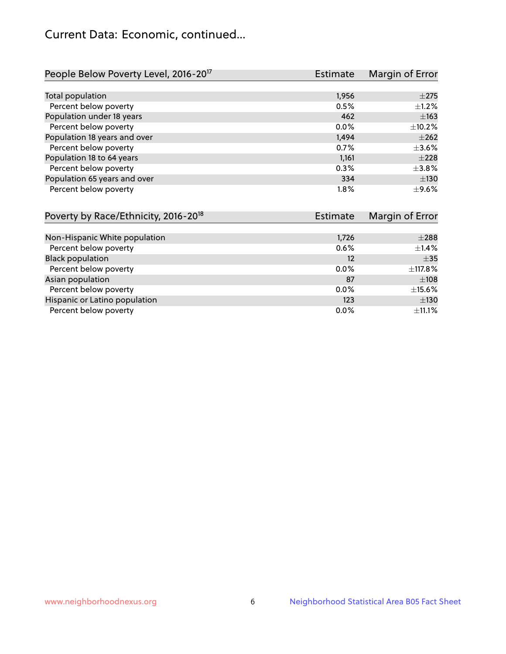## Current Data: Economic, continued...

| People Below Poverty Level, 2016-20 <sup>17</sup> | <b>Estimate</b> | Margin of Error |
|---------------------------------------------------|-----------------|-----------------|
|                                                   |                 |                 |
| Total population                                  | 1,956           | $\pm 275$       |
| Percent below poverty                             | 0.5%            | $+1.2%$         |
| Population under 18 years                         | 462             | $\pm 163$       |
| Percent below poverty                             | $0.0\%$         | ±10.2%          |
| Population 18 years and over                      | 1,494           | $\pm 262$       |
| Percent below poverty                             | 0.7%            | $\pm 3.6\%$     |
| Population 18 to 64 years                         | 1,161           | $+228$          |
| Percent below poverty                             | 0.3%            | $\pm$ 3.8%      |
| Population 65 years and over                      | 334             | ±130            |
| Percent below poverty                             | 1.8%            | $+9.6%$         |

| Poverty by Race/Ethnicity, 2016-20 <sup>18</sup> | <b>Estimate</b> | Margin of Error |  |
|--------------------------------------------------|-----------------|-----------------|--|
|                                                  |                 |                 |  |
| Non-Hispanic White population                    | 1,726           | $\pm 288$       |  |
| Percent below poverty                            | 0.6%            | $\pm$ 1.4%      |  |
| <b>Black population</b>                          | 12              | $\pm$ 35        |  |
| Percent below poverty                            | $0.0\%$         | ±117.8%         |  |
| Asian population                                 | 87              | $\pm 108$       |  |
| Percent below poverty                            | 0.0%            | $\pm$ 15.6%     |  |
| Hispanic or Latino population                    | 123             | ±130            |  |
| Percent below poverty                            | $0.0\%$         | ±11.1%          |  |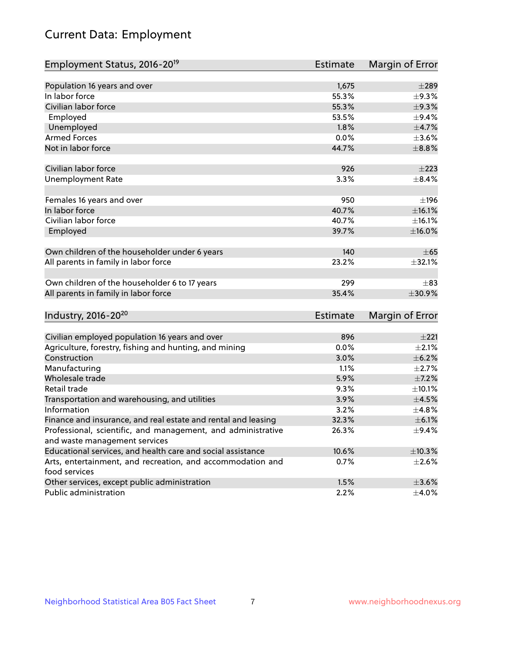# Current Data: Employment

| Employment Status, 2016-20 <sup>19</sup>                                    | <b>Estimate</b> | Margin of Error |
|-----------------------------------------------------------------------------|-----------------|-----------------|
|                                                                             |                 |                 |
| Population 16 years and over                                                | 1,675           | $\pm 289$       |
| In labor force                                                              | 55.3%           | $\pm$ 9.3%      |
| Civilian labor force                                                        | 55.3%           | $\pm$ 9.3%      |
| Employed                                                                    | 53.5%           | ±9.4%           |
| Unemployed                                                                  | 1.8%            | $\pm$ 4.7%      |
| <b>Armed Forces</b>                                                         | 0.0%            | $\pm 3.6\%$     |
| Not in labor force                                                          | 44.7%           | $\pm$ 8.8%      |
| Civilian labor force                                                        | 926             | $\pm 223$       |
| <b>Unemployment Rate</b>                                                    | 3.3%            | $\pm$ 8.4%      |
| Females 16 years and over                                                   | 950             | ±196            |
| In labor force                                                              | 40.7%           | ±16.1%          |
| Civilian labor force                                                        | 40.7%           | ±16.1%          |
| Employed                                                                    | 39.7%           | $\pm$ 16.0%     |
|                                                                             |                 |                 |
| Own children of the householder under 6 years                               | 140             | $\pm 65$        |
| All parents in family in labor force                                        | 23.2%           | ±32.1%          |
|                                                                             |                 |                 |
| Own children of the householder 6 to 17 years                               | 299             | $\pm$ 83        |
| All parents in family in labor force                                        | 35.4%           | ±30.9%          |
|                                                                             |                 |                 |
| Industry, 2016-20 <sup>20</sup>                                             | Estimate        | Margin of Error |
|                                                                             |                 |                 |
| Civilian employed population 16 years and over                              | 896             | ±221            |
| Agriculture, forestry, fishing and hunting, and mining                      | 0.0%            | $\pm 2.1\%$     |
| Construction                                                                | 3.0%            | $\pm$ 6.2%      |
| Manufacturing                                                               | 1.1%            | $\pm 2.7\%$     |
| Wholesale trade                                                             | 5.9%            | $\pm$ 7.2%      |
| Retail trade                                                                | 9.3%            | ±10.1%          |
| Transportation and warehousing, and utilities                               | 3.9%            | $\pm 4.5\%$     |
| Information                                                                 | 3.2%            | ±4.8%           |
| Finance and insurance, and real estate and rental and leasing               | 32.3%           | $\pm$ 6.1%      |
| Professional, scientific, and management, and administrative                | 26.3%           | $\pm$ 9.4%      |
| and waste management services                                               |                 |                 |
| Educational services, and health care and social assistance                 | 10.6%           | ±10.3%          |
| Arts, entertainment, and recreation, and accommodation and<br>food services | 0.7%            | $\pm 2.6\%$     |
| Other services, except public administration                                | 1.5%            | $\pm$ 3.6%      |
| Public administration                                                       | 2.2%            | $\pm$ 4.0%      |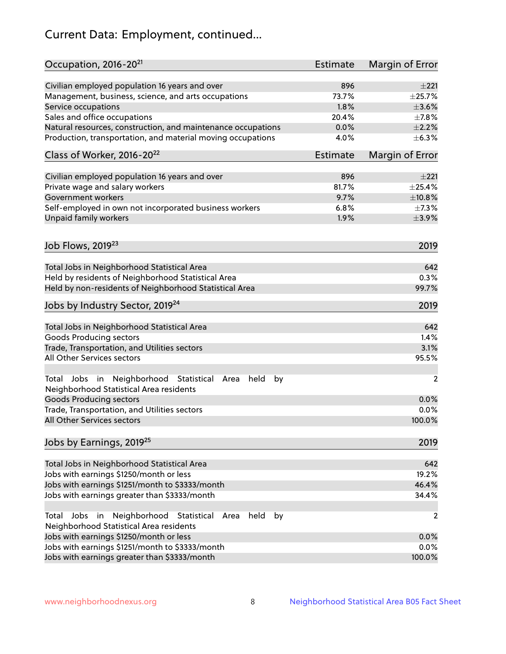# Current Data: Employment, continued...

| Occupation, 2016-20 <sup>21</sup>                                                                       | <b>Estimate</b> | Margin of Error |
|---------------------------------------------------------------------------------------------------------|-----------------|-----------------|
| Civilian employed population 16 years and over                                                          | 896             | $\pm 221$       |
| Management, business, science, and arts occupations                                                     | 73.7%           | $\pm$ 25.7%     |
| Service occupations                                                                                     | 1.8%            | $\pm 3.6\%$     |
| Sales and office occupations                                                                            | 20.4%           | $\pm$ 7.8%      |
| Natural resources, construction, and maintenance occupations                                            | 0.0%            | $\pm 2.2\%$     |
| Production, transportation, and material moving occupations                                             | 4.0%            | $\pm$ 6.3%      |
| Class of Worker, 2016-20 <sup>22</sup>                                                                  | <b>Estimate</b> | Margin of Error |
|                                                                                                         |                 | ±221            |
| Civilian employed population 16 years and over                                                          | 896<br>81.7%    | $\pm$ 25.4%     |
| Private wage and salary workers                                                                         |                 |                 |
| Government workers                                                                                      | 9.7%            | ±10.8%          |
| Self-employed in own not incorporated business workers                                                  | 6.8%            | $\pm$ 7.3%      |
| Unpaid family workers                                                                                   | 1.9%            | $\pm$ 3.9%      |
| Job Flows, 2019 <sup>23</sup>                                                                           |                 | 2019            |
|                                                                                                         |                 |                 |
| Total Jobs in Neighborhood Statistical Area                                                             |                 | 642             |
| Held by residents of Neighborhood Statistical Area                                                      |                 | 0.3%            |
| Held by non-residents of Neighborhood Statistical Area                                                  |                 | 99.7%           |
| Jobs by Industry Sector, 2019 <sup>24</sup>                                                             |                 | 2019            |
| Total Jobs in Neighborhood Statistical Area                                                             |                 | 642             |
| <b>Goods Producing sectors</b>                                                                          |                 | 1.4%            |
| Trade, Transportation, and Utilities sectors                                                            |                 | 3.1%            |
| All Other Services sectors                                                                              |                 | 95.5%           |
|                                                                                                         |                 |                 |
| Total Jobs in Neighborhood Statistical<br>held<br>by<br>Area<br>Neighborhood Statistical Area residents |                 | $\overline{2}$  |
| <b>Goods Producing sectors</b>                                                                          |                 | 0.0%            |
| Trade, Transportation, and Utilities sectors                                                            |                 | 0.0%            |
| All Other Services sectors                                                                              |                 | 100.0%          |
| Jobs by Earnings, 2019 <sup>25</sup>                                                                    |                 | 2019            |
| Total Jobs in Neighborhood Statistical Area                                                             |                 | 642             |
| Jobs with earnings \$1250/month or less                                                                 |                 | 19.2%           |
| Jobs with earnings \$1251/month to \$3333/month                                                         |                 | 46.4%           |
| Jobs with earnings greater than \$3333/month                                                            |                 | 34.4%           |
| Neighborhood Statistical<br>Jobs<br>in<br>Area<br>held<br>by<br>Total                                   |                 | 2               |
| Neighborhood Statistical Area residents                                                                 |                 |                 |
| Jobs with earnings \$1250/month or less                                                                 |                 | 0.0%            |
| Jobs with earnings \$1251/month to \$3333/month                                                         |                 | 0.0%            |
| Jobs with earnings greater than \$3333/month                                                            |                 | 100.0%          |
|                                                                                                         |                 |                 |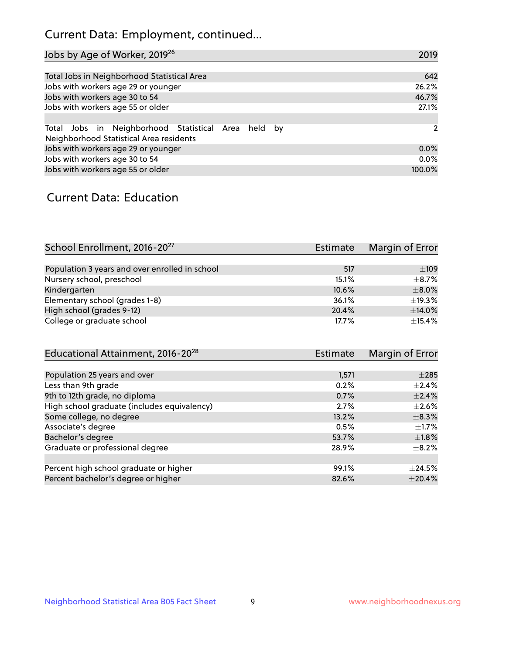## Current Data: Employment, continued...

| Jobs by Age of Worker, 2019 <sup>26</sup>                                                      | 2019   |
|------------------------------------------------------------------------------------------------|--------|
|                                                                                                |        |
| Total Jobs in Neighborhood Statistical Area                                                    | 642    |
| Jobs with workers age 29 or younger                                                            | 26.2%  |
| Jobs with workers age 30 to 54                                                                 | 46.7%  |
| Jobs with workers age 55 or older                                                              | 27.1%  |
|                                                                                                |        |
| Total Jobs in Neighborhood Statistical Area held by<br>Neighborhood Statistical Area residents | 2      |
| Jobs with workers age 29 or younger                                                            | 0.0%   |
| Jobs with workers age 30 to 54                                                                 | 0.0%   |
| Jobs with workers age 55 or older                                                              | 100.0% |

### Current Data: Education

| School Enrollment, 2016-20 <sup>27</sup>       | Estimate | Margin of Error |
|------------------------------------------------|----------|-----------------|
|                                                |          |                 |
| Population 3 years and over enrolled in school | 517      | $\pm 109$       |
| Nursery school, preschool                      | 15.1%    | $\pm$ 8.7%      |
| Kindergarten                                   | 10.6%    | $\pm$ 8.0%      |
| Elementary school (grades 1-8)                 | 36.1%    | ±19.3%          |
| High school (grades 9-12)                      | 20.4%    | $\pm$ 14.0%     |
| College or graduate school                     | 17.7%    | $\pm$ 15.4%     |

| Educational Attainment, 2016-20 <sup>28</sup> | <b>Estimate</b> | Margin of Error |
|-----------------------------------------------|-----------------|-----------------|
|                                               |                 |                 |
| Population 25 years and over                  | 1,571           | $\pm 285$       |
| Less than 9th grade                           | 0.2%            | $\pm 2.4\%$     |
| 9th to 12th grade, no diploma                 | 0.7%            | $\pm 2.4\%$     |
| High school graduate (includes equivalency)   | 2.7%            | $\pm 2.6\%$     |
| Some college, no degree                       | 13.2%           | $\pm$ 8.3%      |
| Associate's degree                            | 0.5%            | $\pm$ 1.7%      |
| Bachelor's degree                             | 53.7%           | $\pm1.8\%$      |
| Graduate or professional degree               | 28.9%           | $+8.2%$         |
|                                               |                 |                 |
| Percent high school graduate or higher        | 99.1%           | $\pm$ 24.5%     |
| Percent bachelor's degree or higher           | 82.6%           | $\pm$ 20.4%     |
|                                               |                 |                 |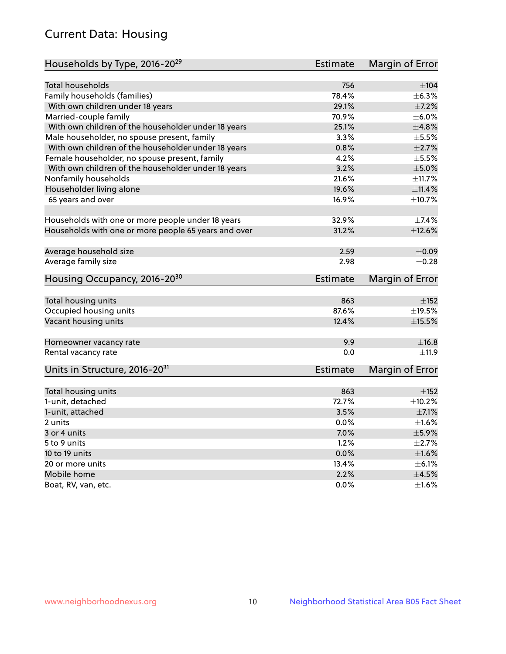## Current Data: Housing

| Households by Type, 2016-20 <sup>29</sup>            | <b>Estimate</b> | Margin of Error |
|------------------------------------------------------|-----------------|-----------------|
|                                                      |                 |                 |
| Total households                                     | 756             | ±104            |
| Family households (families)                         | 78.4%           | $\pm$ 6.3%      |
| With own children under 18 years                     | 29.1%           | $\pm$ 7.2%      |
| Married-couple family                                | 70.9%           | $\pm$ 6.0%      |
| With own children of the householder under 18 years  | 25.1%           | ±4.8%           |
| Male householder, no spouse present, family          | 3.3%            | $\pm$ 5.5%      |
| With own children of the householder under 18 years  | 0.8%            | $\pm 2.7\%$     |
| Female householder, no spouse present, family        | 4.2%            | $\pm$ 5.5%      |
| With own children of the householder under 18 years  | 3.2%            | $\pm$ 5.0%      |
| Nonfamily households                                 | 21.6%           | ±11.7%          |
| Householder living alone                             | 19.6%           | ±11.4%          |
| 65 years and over                                    | 16.9%           | ±10.7%          |
|                                                      |                 |                 |
| Households with one or more people under 18 years    | 32.9%           | $\pm$ 7.4%      |
| Households with one or more people 65 years and over | 31.2%           | $\pm$ 12.6%     |
|                                                      |                 |                 |
| Average household size                               | 2.59            | $\pm$ 0.09      |
| Average family size                                  | 2.98            | $\pm$ 0.28      |
| Housing Occupancy, 2016-20 <sup>30</sup>             | <b>Estimate</b> | Margin of Error |
| Total housing units                                  | 863             | $\pm$ 152       |
| Occupied housing units                               | 87.6%           | ±19.5%          |
| Vacant housing units                                 | 12.4%           | $\pm$ 15.5%     |
|                                                      |                 |                 |
| Homeowner vacancy rate                               | 9.9             | ±16.8           |
| Rental vacancy rate                                  | 0.0             | ±11.9           |
| Units in Structure, 2016-20 <sup>31</sup>            | Estimate        | Margin of Error |
|                                                      |                 |                 |
| Total housing units                                  | 863             | ±152            |
| 1-unit, detached                                     | 72.7%           | $\pm$ 10.2%     |
| 1-unit, attached                                     | 3.5%            | $\pm$ 7.1%      |
| 2 units                                              | 0.0%            | $\pm 1.6\%$     |
| 3 or 4 units                                         | 7.0%            | $\pm$ 5.9%      |
| 5 to 9 units                                         | 1.2%            | $\pm 2.7\%$     |
| 10 to 19 units                                       | 0.0%            | ±1.6%           |
| 20 or more units                                     | 13.4%           | $\pm$ 6.1%      |
| Mobile home                                          | 2.2%            | $\pm 4.5\%$     |
| Boat, RV, van, etc.                                  | $0.0\%$         | $\pm$ 1.6%      |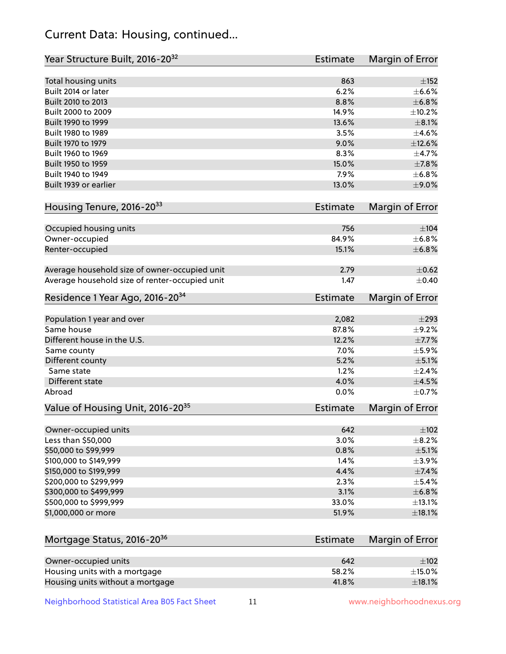## Current Data: Housing, continued...

| Year Structure Built, 2016-20 <sup>32</sup>    | <b>Estimate</b> | Margin of Error |
|------------------------------------------------|-----------------|-----------------|
| Total housing units                            | 863             | $\pm$ 152       |
| Built 2014 or later                            | 6.2%            | $\pm$ 6.6%      |
| Built 2010 to 2013                             | 8.8%            | ±6.8%           |
| Built 2000 to 2009                             | 14.9%           | ±10.2%          |
| Built 1990 to 1999                             | 13.6%           | $\pm$ 8.1%      |
| Built 1980 to 1989                             | 3.5%            | $\pm$ 4.6%      |
| Built 1970 to 1979                             | 9.0%            | $\pm$ 12.6%     |
| Built 1960 to 1969                             | 8.3%            | $\pm$ 4.7%      |
| Built 1950 to 1959                             | 15.0%           | $\pm$ 7.8%      |
| Built 1940 to 1949                             | 7.9%            | ±6.8%           |
| Built 1939 or earlier                          | 13.0%           | $\pm$ 9.0%      |
| Housing Tenure, 2016-2033                      | <b>Estimate</b> | Margin of Error |
| Occupied housing units                         | 756             | $\pm 104$       |
| Owner-occupied                                 | 84.9%           | ±6.8%           |
| Renter-occupied                                | 15.1%           | ±6.8%           |
| Average household size of owner-occupied unit  | 2.79            | $\pm$ 0.62      |
| Average household size of renter-occupied unit | 1.47            | $\pm$ 0.40      |
| Residence 1 Year Ago, 2016-20 <sup>34</sup>    | <b>Estimate</b> | Margin of Error |
| Population 1 year and over                     | 2,082           | $\pm 293$       |
| Same house                                     | 87.8%           | $\pm$ 9.2%      |
| Different house in the U.S.                    | 12.2%           | $\pm$ 7.7%      |
| Same county                                    | 7.0%            | $\pm$ 5.9%      |
| Different county                               | 5.2%            | $\pm$ 5.1%      |
| Same state                                     | 1.2%            | $\pm 2.4\%$     |
| Different state                                | 4.0%            | $\pm 4.5\%$     |
| Abroad                                         | 0.0%            | $\pm$ 0.7%      |
| Value of Housing Unit, 2016-20 <sup>35</sup>   | <b>Estimate</b> | Margin of Error |
| Owner-occupied units                           | 642             | $\pm$ 102       |
| Less than \$50,000                             | 3.0%            | $\pm$ 8.2%      |
| \$50,000 to \$99,999                           | 0.8%            | $\pm$ 5.1%      |
| \$100,000 to \$149,999                         | 1.4%            | $\pm$ 3.9%      |
| \$150,000 to \$199,999                         | 4.4%            | $\pm$ 7.4%      |
| \$200,000 to \$299,999                         | 2.3%            | $\pm$ 5.4%      |
| \$300,000 to \$499,999                         | 3.1%            | ±6.8%           |
| \$500,000 to \$999,999                         | 33.0%           | ±13.1%          |
| \$1,000,000 or more                            | 51.9%           | $\pm$ 18.1%     |
| Mortgage Status, 2016-20 <sup>36</sup>         | <b>Estimate</b> | Margin of Error |
| Owner-occupied units                           | 642             | $\pm$ 102       |
| Housing units with a mortgage                  | 58.2%           | $\pm$ 15.0%     |
| Housing units without a mortgage               | 41.8%           | $\pm$ 18.1%     |

Neighborhood Statistical Area B05 Fact Sheet 11 11 www.neighborhoodnexus.org

Housing units without a mortgage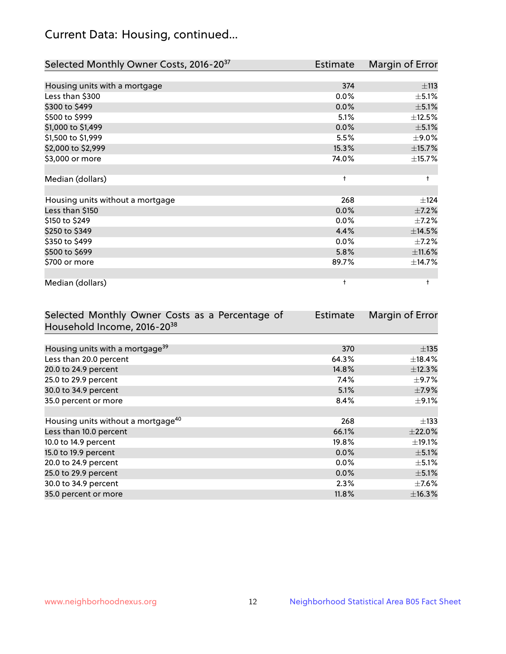## Current Data: Housing, continued...

| Selected Monthly Owner Costs, 2016-20 <sup>37</sup> | Estimate   | Margin of Error |
|-----------------------------------------------------|------------|-----------------|
|                                                     |            |                 |
| Housing units with a mortgage                       | 374        | ±113            |
| Less than \$300                                     | 0.0%       | $\pm$ 5.1%      |
| \$300 to \$499                                      | 0.0%       | $\pm$ 5.1%      |
| \$500 to \$999                                      | 5.1%       | ±12.5%          |
| \$1,000 to \$1,499                                  | 0.0%       | $\pm$ 5.1%      |
| \$1,500 to \$1,999                                  | 5.5%       | $\pm$ 9.0%      |
| \$2,000 to \$2,999                                  | 15.3%      | ±15.7%          |
| \$3,000 or more                                     | 74.0%      | $\pm$ 15.7%     |
|                                                     |            |                 |
| Median (dollars)                                    | $\ddagger$ | $\ddagger$      |
|                                                     |            |                 |
| Housing units without a mortgage                    | 268        | ±124            |
| Less than \$150                                     | 0.0%       | $\pm$ 7.2%      |
| \$150 to \$249                                      | 0.0%       | $\pm$ 7.2%      |
| \$250 to \$349                                      | 4.4%       | ±14.5%          |
| \$350 to \$499                                      | 0.0%       | $\pm$ 7.2%      |
| \$500 to \$699                                      | 5.8%       | ±11.6%          |
| \$700 or more                                       | 89.7%      | ±14.7%          |
|                                                     |            |                 |
| Median (dollars)                                    | t          | $\ddagger$      |

| Selected Monthly Owner Costs as a Percentage of | <b>Estimate</b> | Margin of Error |
|-------------------------------------------------|-----------------|-----------------|
| Household Income, 2016-2038                     |                 |                 |
|                                                 |                 |                 |
| Housing units with a mortgage <sup>39</sup>     | 370             | $\pm$ 135       |
| Less than 20.0 percent                          | 64.3%           | $\pm$ 18.4%     |
| 20.0 to 24.9 percent                            | 14.8%           | ±12.3%          |
| 25.0 to 29.9 percent                            | 7.4%            | $\pm$ 9.7%      |
| 30.0 to 34.9 percent                            | 5.1%            | $\pm$ 7.9%      |
| 35.0 percent or more                            | 8.4%            | $\pm$ 9.1%      |
|                                                 |                 |                 |
| Housing units without a mortgage <sup>40</sup>  | 268             | $\pm$ 133       |
| Less than 10.0 percent                          | 66.1%           | $\pm 22.0\%$    |
| 10.0 to 14.9 percent                            | 19.8%           | $\pm$ 19.1%     |
| 15.0 to 19.9 percent                            | 0.0%            | $\pm$ 5.1%      |
| 20.0 to 24.9 percent                            | $0.0\%$         | $\pm$ 5.1%      |
| 25.0 to 29.9 percent                            | 0.0%            | $\pm$ 5.1%      |
| 30.0 to 34.9 percent                            | 2.3%            | $\pm$ 7.6%      |
| 35.0 percent or more                            | $11.8\%$        | $\pm$ 16.3%     |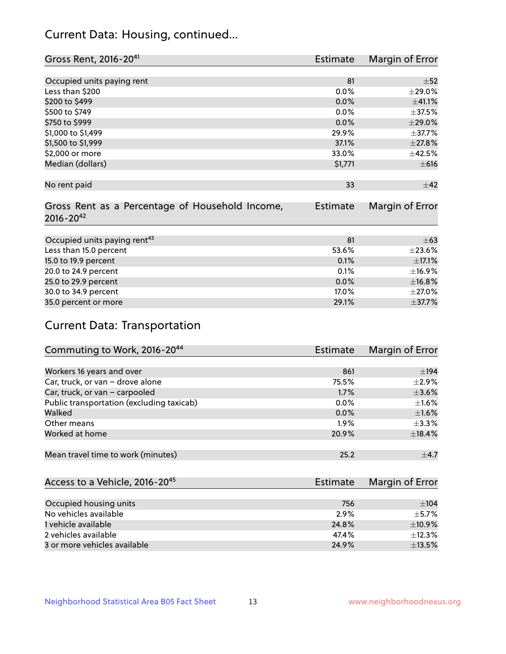## Current Data: Housing, continued...

| Gross Rent, 2016-2041                           | Estimate        | Margin of Error |
|-------------------------------------------------|-----------------|-----------------|
|                                                 |                 |                 |
| Occupied units paying rent                      | 81              | $\pm$ 52        |
| Less than \$200                                 | 0.0%            | ±29.0%          |
| \$200 to \$499                                  | 0.0%            | ±41.1%          |
| \$500 to \$749                                  | 0.0%            | ±37.5%          |
| \$750 to \$999                                  | 0.0%            | $\pm 29.0\%$    |
| \$1,000 to \$1,499                              | 29.9%           | $\pm$ 37.7%     |
| \$1,500 to \$1,999                              | 37.1%           | ±27.8%          |
| \$2,000 or more                                 | 33.0%           | ±42.5%          |
| Median (dollars)                                | \$1,771         | $\pm 616$       |
|                                                 |                 |                 |
| No rent paid                                    | 33              | ±42             |
|                                                 |                 |                 |
| Gross Rent as a Percentage of Household Income, | <b>Estimate</b> | Margin of Error |
| $2016 - 20^{42}$                                |                 |                 |
|                                                 |                 |                 |
| Occupied units paying rent <sup>43</sup>        | 81              | $\pm 63$        |
| Less than 15.0 percent                          | 53.6%           | ±23.6%          |
| 15.0 to 19.9 percent                            | 0.1%            | $\pm$ 17.1%     |
| 20.0 to 24.9 percent                            | 0.1%            | ±16.9%          |
| 25.0 to 29.9 percent                            | 0.0%            | ±16.8%          |
| 30.0 to 34.9 percent                            | 17.0%           | $\pm 27.0\%$    |
| 35.0 percent or more                            | 29.1%           | ±37.7%          |

## Current Data: Transportation

| Commuting to Work, 2016-20 <sup>44</sup>  | Estimate | Margin of Error |
|-------------------------------------------|----------|-----------------|
|                                           |          |                 |
| Workers 16 years and over                 | 861      | ±194            |
| Car, truck, or van - drove alone          | 75.5%    | $\pm 2.9\%$     |
| Car, truck, or van - carpooled            | 1.7%     | $\pm 3.6\%$     |
| Public transportation (excluding taxicab) | $0.0\%$  | $\pm 1.6\%$     |
| Walked                                    | $0.0\%$  | $\pm$ 1.6%      |
| Other means                               | 1.9%     | $\pm$ 3.3%      |
| Worked at home                            | 20.9%    | ±18.4%          |
|                                           |          |                 |
| Mean travel time to work (minutes)        | 25.2     | $\pm$ 4.7       |

| Access to a Vehicle, 2016-20 <sup>45</sup> | Estimate | Margin of Error |
|--------------------------------------------|----------|-----------------|
|                                            |          |                 |
| Occupied housing units                     | 756      | ±104            |
| No vehicles available                      | 2.9%     | $+5.7%$         |
| 1 vehicle available                        | 24.8%    | $\pm$ 10.9%     |
| 2 vehicles available                       | 47.4%    | ±12.3%          |
| 3 or more vehicles available               | 24.9%    | $\pm$ 13.5%     |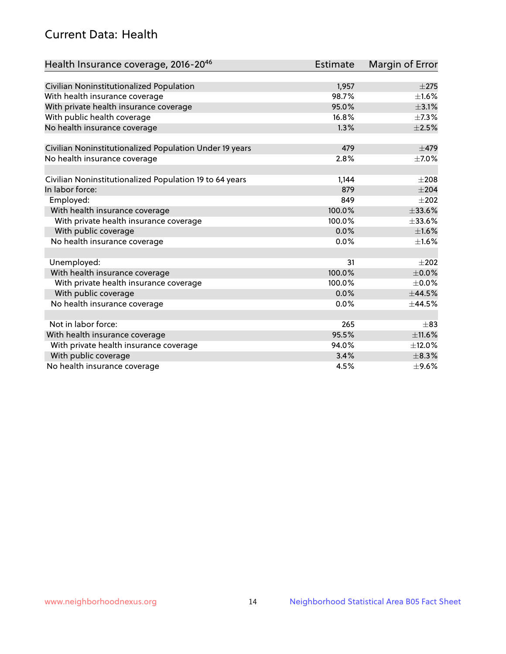## Current Data: Health

| Health Insurance coverage, 2016-2046                    | <b>Estimate</b> | Margin of Error |
|---------------------------------------------------------|-----------------|-----------------|
|                                                         |                 |                 |
| Civilian Noninstitutionalized Population                | 1,957           | $\pm 275$       |
| With health insurance coverage                          | 98.7%           | $\pm 1.6\%$     |
| With private health insurance coverage                  | 95.0%           | $\pm$ 3.1%      |
| With public health coverage                             | 16.8%           | $\pm$ 7.3%      |
| No health insurance coverage                            | 1.3%            | $\pm 2.5\%$     |
| Civilian Noninstitutionalized Population Under 19 years | 479             | $\pm$ 479       |
| No health insurance coverage                            | 2.8%            | $\pm$ 7.0%      |
|                                                         |                 |                 |
| Civilian Noninstitutionalized Population 19 to 64 years | 1,144           | $\pm 208$       |
| In labor force:                                         | 879             | $\pm 204$       |
| Employed:                                               | 849             | $\pm 202$       |
| With health insurance coverage                          | 100.0%          | ±33.6%          |
| With private health insurance coverage                  | 100.0%          | $\pm$ 33.6%     |
| With public coverage                                    | 0.0%            | $\pm1.6\%$      |
| No health insurance coverage                            | 0.0%            | $\pm1.6\%$      |
| Unemployed:                                             | 31              | $+202$          |
| With health insurance coverage                          | 100.0%          | $\pm$ 0.0%      |
| With private health insurance coverage                  | 100.0%          | $\pm$ 0.0%      |
| With public coverage                                    | 0.0%            | ±44.5%          |
| No health insurance coverage                            | 0.0%            | ±44.5%          |
|                                                         |                 |                 |
| Not in labor force:                                     | 265             | $\pm$ 83        |
| With health insurance coverage                          | 95.5%           | ±11.6%          |
| With private health insurance coverage                  | 94.0%           | ±12.0%          |
| With public coverage                                    | 3.4%            | $\pm$ 8.3%      |
| No health insurance coverage                            | 4.5%            | $\pm$ 9.6%      |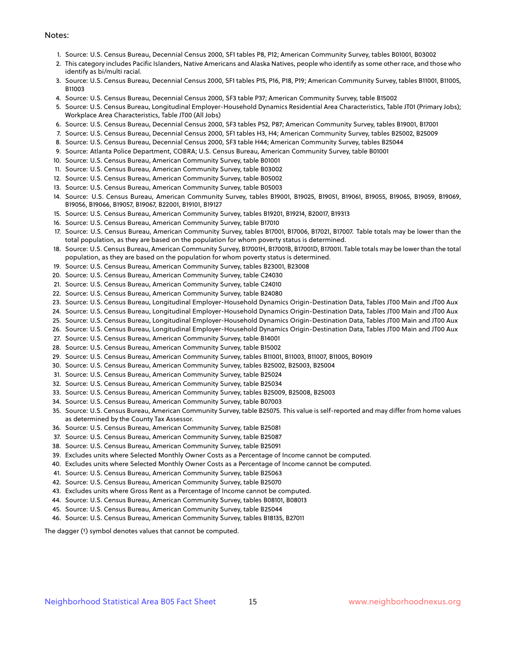#### Notes:

- 1. Source: U.S. Census Bureau, Decennial Census 2000, SF1 tables P8, P12; American Community Survey, tables B01001, B03002
- 2. This category includes Pacific Islanders, Native Americans and Alaska Natives, people who identify as some other race, and those who identify as bi/multi racial.
- 3. Source: U.S. Census Bureau, Decennial Census 2000, SF1 tables P15, P16, P18, P19; American Community Survey, tables B11001, B11005, B11003
- 4. Source: U.S. Census Bureau, Decennial Census 2000, SF3 table P37; American Community Survey, table B15002
- 5. Source: U.S. Census Bureau, Longitudinal Employer-Household Dynamics Residential Area Characteristics, Table JT01 (Primary Jobs); Workplace Area Characteristics, Table JT00 (All Jobs)
- 6. Source: U.S. Census Bureau, Decennial Census 2000, SF3 tables P52, P87; American Community Survey, tables B19001, B17001
- 7. Source: U.S. Census Bureau, Decennial Census 2000, SF1 tables H3, H4; American Community Survey, tables B25002, B25009
- 8. Source: U.S. Census Bureau, Decennial Census 2000, SF3 table H44; American Community Survey, tables B25044
- 9. Source: Atlanta Police Department, COBRA; U.S. Census Bureau, American Community Survey, table B01001
- 10. Source: U.S. Census Bureau, American Community Survey, table B01001
- 11. Source: U.S. Census Bureau, American Community Survey, table B03002
- 12. Source: U.S. Census Bureau, American Community Survey, table B05002
- 13. Source: U.S. Census Bureau, American Community Survey, table B05003
- 14. Source: U.S. Census Bureau, American Community Survey, tables B19001, B19025, B19051, B19061, B19055, B19065, B19059, B19069, B19056, B19066, B19057, B19067, B22001, B19101, B19127
- 15. Source: U.S. Census Bureau, American Community Survey, tables B19201, B19214, B20017, B19313
- 16. Source: U.S. Census Bureau, American Community Survey, table B17010
- 17. Source: U.S. Census Bureau, American Community Survey, tables B17001, B17006, B17021, B17007. Table totals may be lower than the total population, as they are based on the population for whom poverty status is determined.
- 18. Source: U.S. Census Bureau, American Community Survey, B17001H, B17001B, B17001D, B17001I. Table totals may be lower than the total population, as they are based on the population for whom poverty status is determined.
- 19. Source: U.S. Census Bureau, American Community Survey, tables B23001, B23008
- 20. Source: U.S. Census Bureau, American Community Survey, table C24030
- 21. Source: U.S. Census Bureau, American Community Survey, table C24010
- 22. Source: U.S. Census Bureau, American Community Survey, table B24080
- 23. Source: U.S. Census Bureau, Longitudinal Employer-Household Dynamics Origin-Destination Data, Tables JT00 Main and JT00 Aux
- 24. Source: U.S. Census Bureau, Longitudinal Employer-Household Dynamics Origin-Destination Data, Tables JT00 Main and JT00 Aux
- 25. Source: U.S. Census Bureau, Longitudinal Employer-Household Dynamics Origin-Destination Data, Tables JT00 Main and JT00 Aux
- 26. Source: U.S. Census Bureau, Longitudinal Employer-Household Dynamics Origin-Destination Data, Tables JT00 Main and JT00 Aux
- 27. Source: U.S. Census Bureau, American Community Survey, table B14001
- 28. Source: U.S. Census Bureau, American Community Survey, table B15002
- 29. Source: U.S. Census Bureau, American Community Survey, tables B11001, B11003, B11007, B11005, B09019
- 30. Source: U.S. Census Bureau, American Community Survey, tables B25002, B25003, B25004
- 31. Source: U.S. Census Bureau, American Community Survey, table B25024
- 32. Source: U.S. Census Bureau, American Community Survey, table B25034
- 33. Source: U.S. Census Bureau, American Community Survey, tables B25009, B25008, B25003
- 34. Source: U.S. Census Bureau, American Community Survey, table B07003
- 35. Source: U.S. Census Bureau, American Community Survey, table B25075. This value is self-reported and may differ from home values as determined by the County Tax Assessor.
- 36. Source: U.S. Census Bureau, American Community Survey, table B25081
- 37. Source: U.S. Census Bureau, American Community Survey, table B25087
- 38. Source: U.S. Census Bureau, American Community Survey, table B25091
- 39. Excludes units where Selected Monthly Owner Costs as a Percentage of Income cannot be computed.
- 40. Excludes units where Selected Monthly Owner Costs as a Percentage of Income cannot be computed.
- 41. Source: U.S. Census Bureau, American Community Survey, table B25063
- 42. Source: U.S. Census Bureau, American Community Survey, table B25070
- 43. Excludes units where Gross Rent as a Percentage of Income cannot be computed.
- 44. Source: U.S. Census Bureau, American Community Survey, tables B08101, B08013
- 45. Source: U.S. Census Bureau, American Community Survey, table B25044
- 46. Source: U.S. Census Bureau, American Community Survey, tables B18135, B27011

The dagger (†) symbol denotes values that cannot be computed.